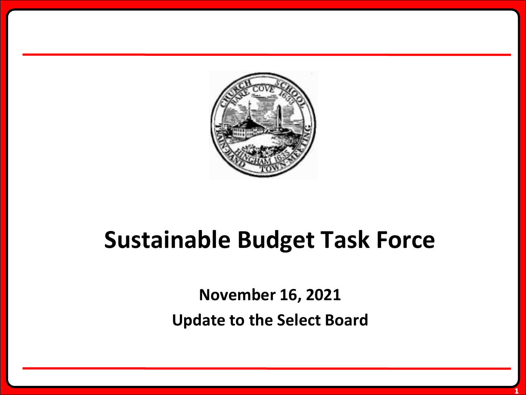

# **Sustainable Budget Task Force**

**November 16, 2021 Update to the Select Board**

**1**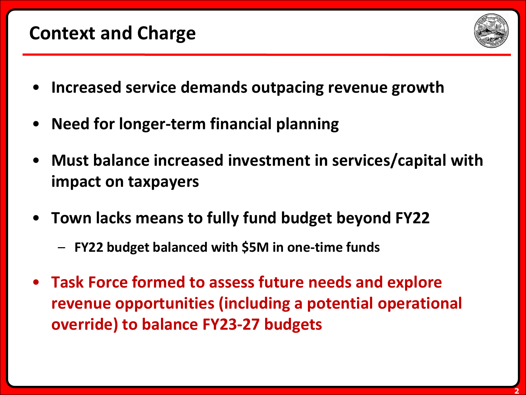### **Context and Charge**



- **Increased service demands outpacing revenue growth**
- **Need for longer-term financial planning**
- **Must balance increased investment in services/capital with impact on taxpayers**
- **Town lacks means to fully fund budget beyond FY22**
	- **FY22 budget balanced with \$5M in one-time funds**
- **Task Force formed to assess future needs and explore revenue opportunities (including a potential operational override) to balance FY23-27 budgets**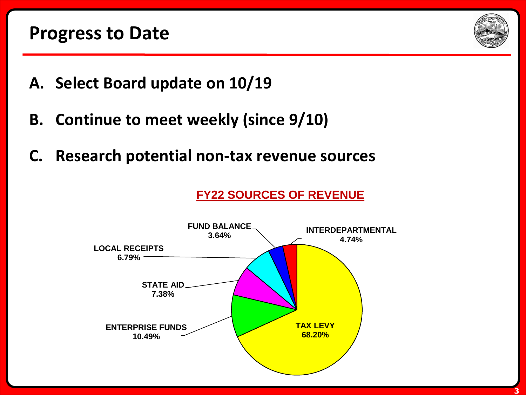

- **A. Select Board update on 10/19**
- **B. Continue to meet weekly (since 9/10)**
- **C. Research potential non-tax revenue sources**

**FY22 SOURCES OF REVENUE**

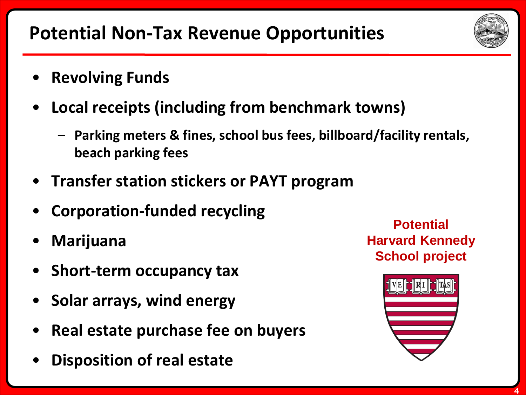**Potential Non-Tax Revenue Opportunities**

- **Revolving Funds**
- **Local receipts (including from benchmark towns)**
	- **Parking meters & fines, school bus fees, billboard/facility rentals, beach parking fees**
- **Transfer station stickers or PAYT program**
- **Corporation-funded recycling**
- **Marijuana**
- **Short-term occupancy tax**
- **Solar arrays, wind energy**
- **Real estate purchase fee on buyers**
- **Disposition of real estate**

**Potential Harvard Kennedy School project**



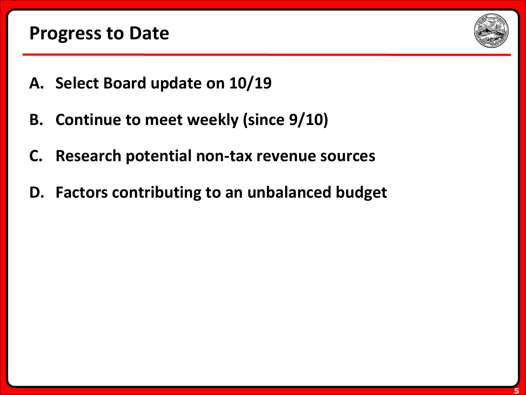

- **A. Select Board update on 10/19**
- **B. Continue to meet weekly (since 9/10)**
- **C. Research potential non-tax revenue sources**
- **D. Factors contributing to an unbalanced budget**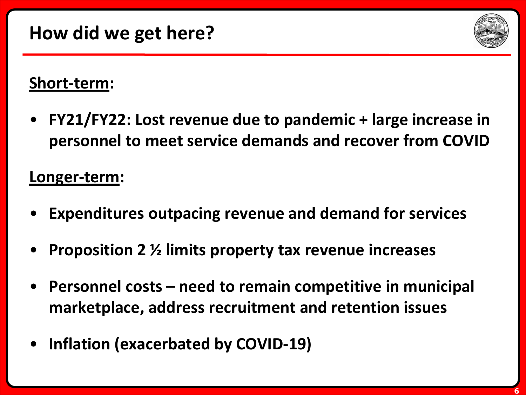

#### **Short-term:**

• **FY21/FY22: Lost revenue due to pandemic + large increase in personnel to meet service demands and recover from COVID**

#### **Longer-term:**

- **Expenditures outpacing revenue and demand for services**
- **Proposition 2 ½ limits property tax revenue increases**
- **Personnel costs – need to remain competitive in municipal marketplace, address recruitment and retention issues**
- **Inflation (exacerbated by COVID-19)**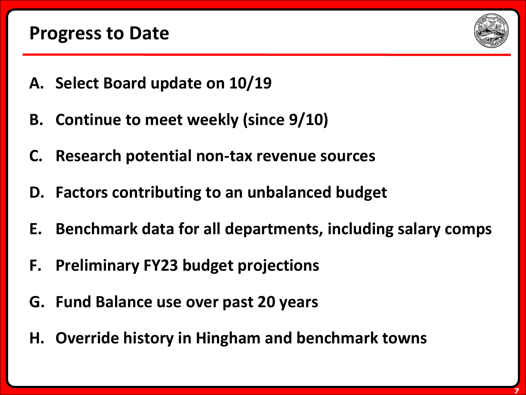

- **A. Select Board update on 10/19**
- **B. Continue to meet weekly (since 9/10)**
- **C. Research potential non-tax revenue sources**
- **D. Factors contributing to an unbalanced budget**
- **E. Benchmark data for all departments, including salary comps**
- **F. Preliminary FY23 budget projections**
- **G. Fund Balance use over past 20 years**
- **H. Override history in Hingham and benchmark towns**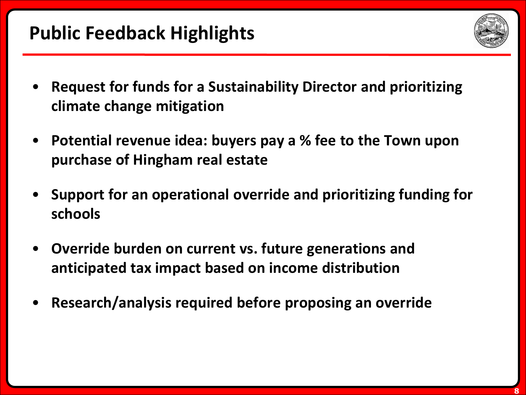# **Public Feedback Highlights**



- **Request for funds for a Sustainability Director and prioritizing climate change mitigation**
- **Potential revenue idea: buyers pay a % fee to the Town upon purchase of Hingham real estate**
- **Support for an operational override and prioritizing funding for schools**
- **Override burden on current vs. future generations and anticipated tax impact based on income distribution**
- **Research/analysis required before proposing an override**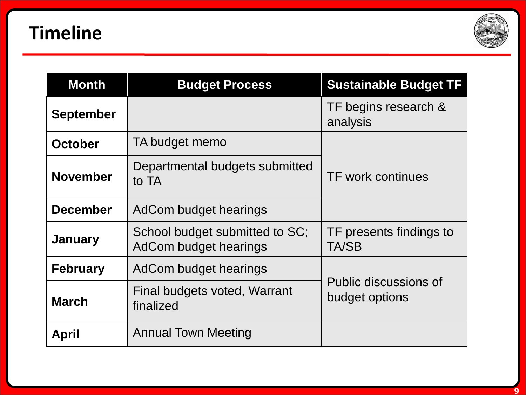

| <b>Month</b>     | <b>Budget Process</b>                                   | <b>Sustainable Budget TF</b>            |
|------------------|---------------------------------------------------------|-----------------------------------------|
| <b>September</b> |                                                         | TF begins research &<br>analysis        |
| <b>October</b>   | TA budget memo                                          | <b>TF work continues</b>                |
| <b>November</b>  | Departmental budgets submitted<br>to TA                 |                                         |
| <b>December</b>  | AdCom budget hearings                                   |                                         |
| <b>January</b>   | School budget submitted to SC;<br>AdCom budget hearings | TF presents findings to<br>TA/SB        |
| <b>February</b>  | AdCom budget hearings                                   | Public discussions of<br>budget options |
| <b>March</b>     | Final budgets voted, Warrant<br>finalized               |                                         |
| <b>April</b>     | <b>Annual Town Meeting</b>                              |                                         |